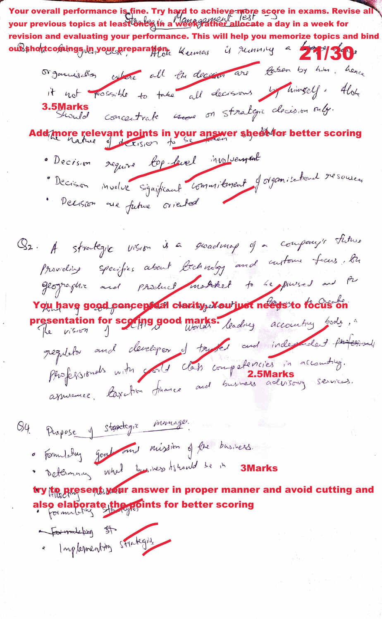Your overall performance is fine. Try hard to achieve more score in exams. Revise all<br>your previous topics at least ones in a week father allocate a day in a week for revision and evaluating your performance. This will help you memorize topics and bind  $3 \mu$ mmng a 27/30 oubshortcomings in your preparation. Keemes Organisation culture all the decision are taken by him. hence it not possible to take all decisions by himself. Alon 3.5 Marks concertrate vecase on strategic clocision only. Add more relevant points in your answer sheet for better scoring · Decision require top-fevel involvement Decision moder significant commitment of organisational resources · Decision are future oriented Q2. A strategie vision is a groadmop of a company's this Providing specifies about bechindag and custome faces, Bu Georgiaphie and product matricel to be pursed and the You have good poncepted clarity, You'iust needs to focus on resentation for scoring good marks. leading accounting body, regulator and developer of trusted and independent particulary Phofogisionals with sold class competencies in accounting. O4 Purpose 1 Stantegre inomage. · Formletter goal and night of the basiness. · Determining what business its hand be in 3Marks try the present war answer in proper manner and avoid cutting and also elaborate the points for better scoring <del>Communiery</del> st